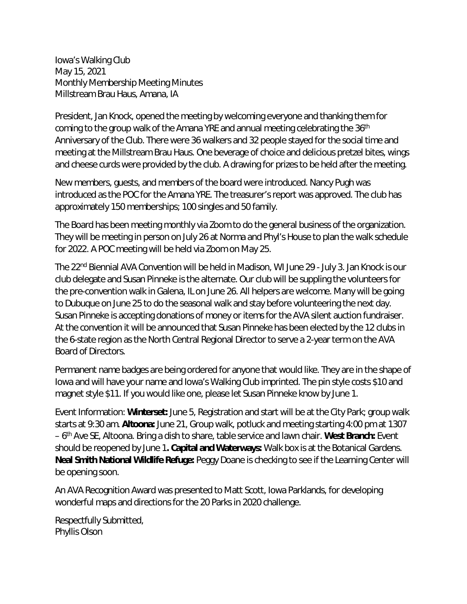Iowa's Walking Club May 15, 2021 Monthly Membership Meeting Minutes Millstream Brau Haus, Amana, IA

President, Jan Knock, opened the meeting by welcoming everyone and thanking them for coming to the group walk of the Amana YRE and annual meeting celebrating the  $36<sup>th</sup>$ Anniversary of the Club. There were 36 walkers and 32 people stayed for the social time and meeting at the Millstream Brau Haus. One beverage of choice and delicious pretzel bites, wings and cheese curds were provided by the club. A drawing for prizes to be held after the meeting.

New members, guests, and members of the board were introduced. Nancy Pugh was introduced as the POC for the Amana YRE. The treasurer's report was approved. The club has approximately 150 memberships; 100 singles and 50 family.

The Board has been meeting monthly via Zoom to do the general business of the organization. They will be meeting in person on July 26 at Norma and Phyl's House to plan the walk schedule for 2022. A POC meeting will be held via Zoom on May 25.

The 22<sup>nd</sup> Biennial AVA Convention will be held in Madison, WI June 29 - July 3. Jan Knock is our club delegate and Susan Pinneke is the alternate. Our club will be suppling the volunteers for the pre-convention walk in Galena, IL on June 26. All helpers are welcome. Many will be going to Dubuque on June 25 to do the seasonal walk and stay before volunteering the next day. Susan Pinneke is accepting donations of money or items for the AVA silent auction fundraiser. At the convention it will be announced that Susan Pinneke has been elected by the 12 clubs in the 6-state region as the North Central Regional Director to serve a 2-year term on the AVA Board of Directors.

Permanent name badges are being ordered for anyone that would like. They are in the shape of Iowa and will have your name and Iowa's Walking Club imprinted. The pin style costs \$10 and magnet style \$11. If you would like one, please let Susan Pinneke know by June 1.

Event Information: **Winterset:** June 5, Registration and start will be at the City Park; group walk starts at 9:30 am. **Altoona:** June 21, Group walk, potluck and meeting starting 4:00 pm at 1307 – 6th Ave SE, Altoona. Bring a dish to share, table service and lawn chair. **West Branch:** Event should be reopened by June 1**. Capital and Waterways:** Walk box is at the Botanical Gardens. **Neal Smith National Wildlife Refuge:** Peggy Doane is checking to see if the Learning Center will be opening soon.

An AVA Recognition Award was presented to Matt Scott, Iowa Parklands, for developing wonderful maps and directions for the 20 Parks in 2020 challenge.

Respectfully Submitted, Phyllis Olson